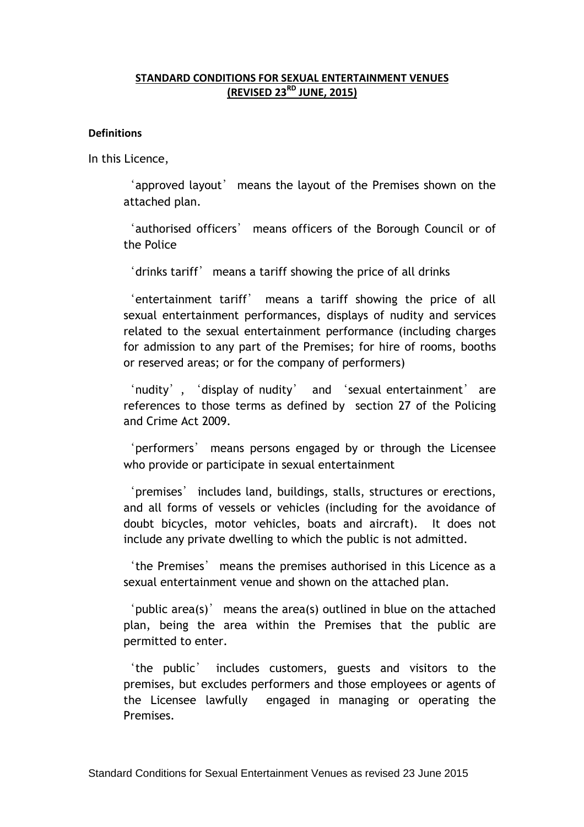## **STANDARD CONDITIONS FOR SEXUAL ENTERTAINMENT VENUES (REVISED 23RD JUNE, 2015)**

#### **Definitions**

In this Licence,

'approved layout' means the layout of the Premises shown on the attached plan.

'authorised officers' means officers of the Borough Council or of the Police

'drinks tariff' means a tariff showing the price of all drinks

'entertainment tariff' means a tariff showing the price of all sexual entertainment performances, displays of nudity and services related to the sexual entertainment performance (including charges for admission to any part of the Premises; for hire of rooms, booths or reserved areas; or for the company of performers)

'nudity', 'display of nudity' and 'sexual entertainment' are references to those terms as defined by section 27 of the Policing and Crime Act 2009.

'performers' means persons engaged by or through the Licensee who provide or participate in sexual entertainment

'premises' includes land, buildings, stalls, structures or erections, and all forms of vessels or vehicles (including for the avoidance of doubt bicycles, motor vehicles, boats and aircraft). It does not include any private dwelling to which the public is not admitted.

'the Premises' means the premises authorised in this Licence as a sexual entertainment venue and shown on the attached plan.

'public area(s)' means the area(s) outlined in blue on the attached plan, being the area within the Premises that the public are permitted to enter.

'the public' includes customers, guests and visitors to the premises, but excludes performers and those employees or agents of the Licensee lawfully engaged in managing or operating the Premises.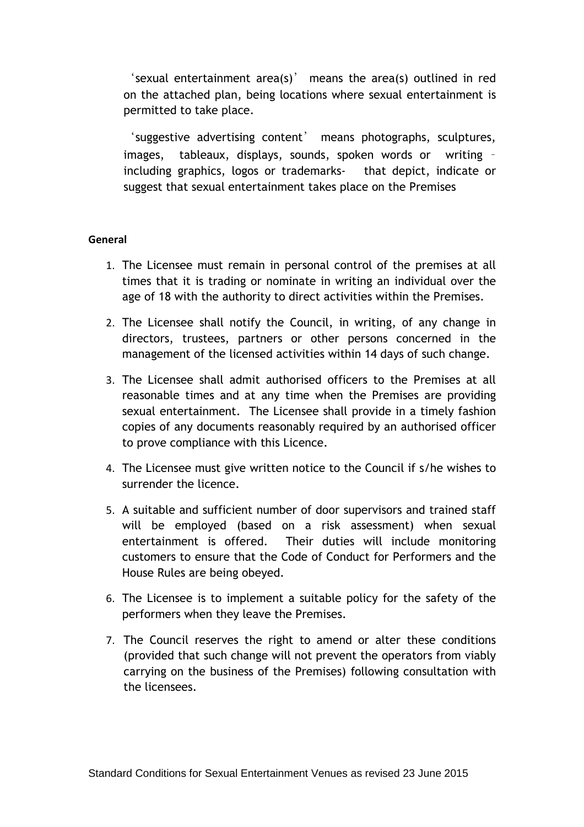'sexual entertainment area(s)' means the area(s) outlined in red on the attached plan, being locations where sexual entertainment is permitted to take place.

'suggestive advertising content' means photographs, sculptures, images, tableaux, displays, sounds, spoken words or writing – including graphics, logos or trademarks- that depict, indicate or suggest that sexual entertainment takes place on the Premises

## **General**

- 1. The Licensee must remain in personal control of the premises at all times that it is trading or nominate in writing an individual over the age of 18 with the authority to direct activities within the Premises.
- 2. The Licensee shall notify the Council, in writing, of any change in directors, trustees, partners or other persons concerned in the management of the licensed activities within 14 days of such change.
- 3. The Licensee shall admit authorised officers to the Premises at all reasonable times and at any time when the Premises are providing sexual entertainment. The Licensee shall provide in a timely fashion copies of any documents reasonably required by an authorised officer to prove compliance with this Licence.
- 4. The Licensee must give written notice to the Council if s/he wishes to surrender the licence.
- 5. A suitable and sufficient number of door supervisors and trained staff will be employed (based on a risk assessment) when sexual entertainment is offered. Their duties will include monitoring customers to ensure that the Code of Conduct for Performers and the House Rules are being obeyed.
- 6. The Licensee is to implement a suitable policy for the safety of the performers when they leave the Premises.
- 7. The Council reserves the right to amend or alter these conditions (provided that such change will not prevent the operators from viably carrying on the business of the Premises) following consultation with the licensees.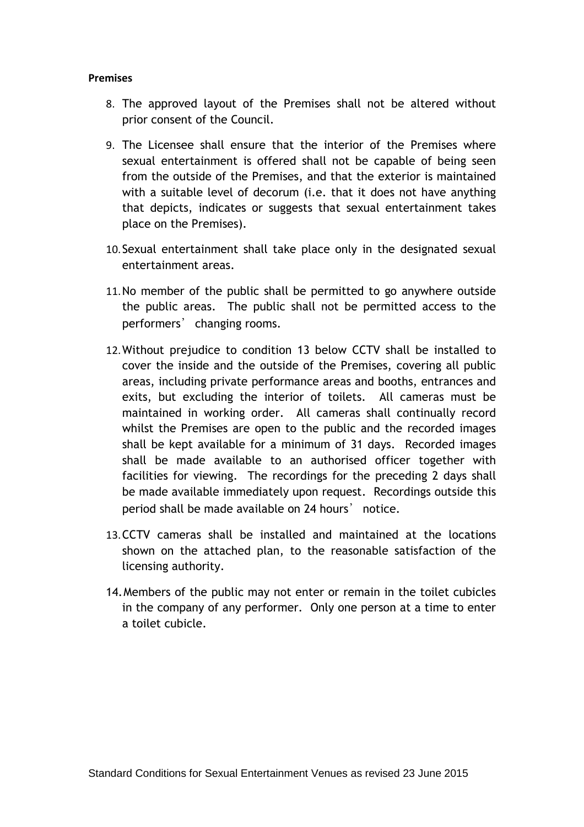#### **Premises**

- 8. The approved layout of the Premises shall not be altered without prior consent of the Council.
- 9. The Licensee shall ensure that the interior of the Premises where sexual entertainment is offered shall not be capable of being seen from the outside of the Premises, and that the exterior is maintained with a suitable level of decorum (i.e. that it does not have anything that depicts, indicates or suggests that sexual entertainment takes place on the Premises).
- 10.Sexual entertainment shall take place only in the designated sexual entertainment areas.
- 11.No member of the public shall be permitted to go anywhere outside the public areas. The public shall not be permitted access to the performers' changing rooms.
- 12.Without prejudice to condition 13 below CCTV shall be installed to cover the inside and the outside of the Premises, covering all public areas, including private performance areas and booths, entrances and exits, but excluding the interior of toilets. All cameras must be maintained in working order. All cameras shall continually record whilst the Premises are open to the public and the recorded images shall be kept available for a minimum of 31 days. Recorded images shall be made available to an authorised officer together with facilities for viewing. The recordings for the preceding 2 days shall be made available immediately upon request. Recordings outside this period shall be made available on 24 hours' notice.
- 13.CCTV cameras shall be installed and maintained at the locations shown on the attached plan, to the reasonable satisfaction of the licensing authority.
- 14.Members of the public may not enter or remain in the toilet cubicles in the company of any performer. Only one person at a time to enter a toilet cubicle.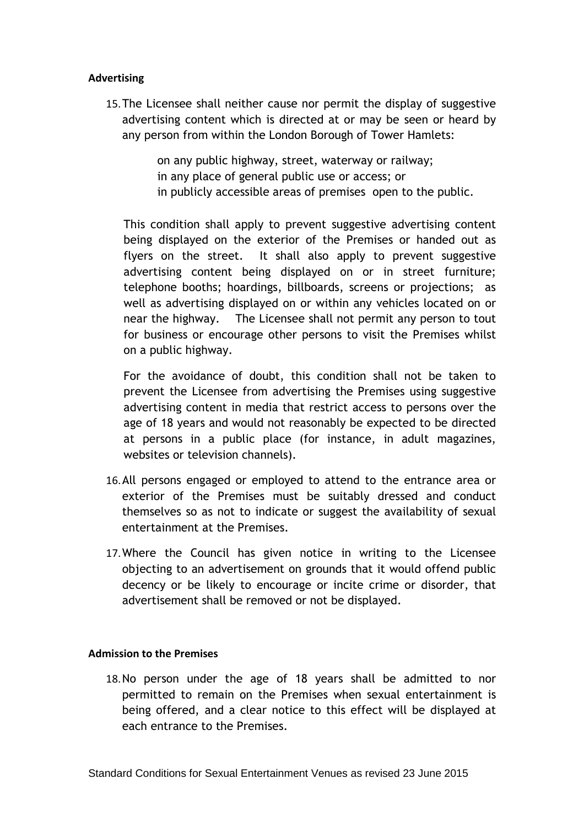## **Advertising**

15.The Licensee shall neither cause nor permit the display of suggestive advertising content which is directed at or may be seen or heard by any person from within the London Borough of Tower Hamlets:

> on any public highway, street, waterway or railway; in any place of general public use or access; or in publicly accessible areas of premises open to the public.

This condition shall apply to prevent suggestive advertising content being displayed on the exterior of the Premises or handed out as flyers on the street. It shall also apply to prevent suggestive advertising content being displayed on or in street furniture; telephone booths; hoardings, billboards, screens or projections; as well as advertising displayed on or within any vehicles located on or near the highway. The Licensee shall not permit any person to tout for business or encourage other persons to visit the Premises whilst on a public highway.

For the avoidance of doubt, this condition shall not be taken to prevent the Licensee from advertising the Premises using suggestive advertising content in media that restrict access to persons over the age of 18 years and would not reasonably be expected to be directed at persons in a public place (for instance, in adult magazines, websites or television channels).

- 16.All persons engaged or employed to attend to the entrance area or exterior of the Premises must be suitably dressed and conduct themselves so as not to indicate or suggest the availability of sexual entertainment at the Premises.
- 17.Where the Council has given notice in writing to the Licensee objecting to an advertisement on grounds that it would offend public decency or be likely to encourage or incite crime or disorder, that advertisement shall be removed or not be displayed.

#### **Admission to the Premises**

18.No person under the age of 18 years shall be admitted to nor permitted to remain on the Premises when sexual entertainment is being offered, and a clear notice to this effect will be displayed at each entrance to the Premises.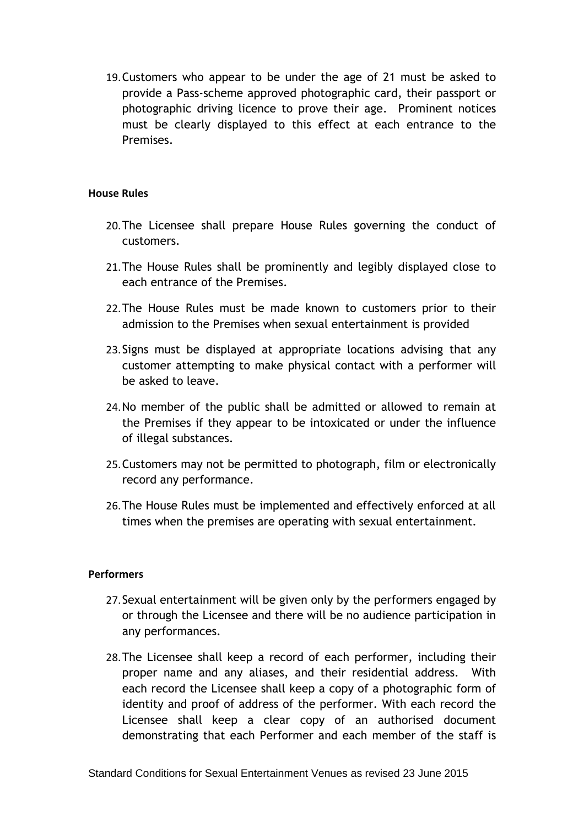19.Customers who appear to be under the age of 21 must be asked to provide a Pass-scheme approved photographic card, their passport or photographic driving licence to prove their age. Prominent notices must be clearly displayed to this effect at each entrance to the Premises.

## **House Rules**

- 20.The Licensee shall prepare House Rules governing the conduct of customers.
- 21.The House Rules shall be prominently and legibly displayed close to each entrance of the Premises.
- 22.The House Rules must be made known to customers prior to their admission to the Premises when sexual entertainment is provided
- 23.Signs must be displayed at appropriate locations advising that any customer attempting to make physical contact with a performer will be asked to leave.
- 24.No member of the public shall be admitted or allowed to remain at the Premises if they appear to be intoxicated or under the influence of illegal substances.
- 25.Customers may not be permitted to photograph, film or electronically record any performance.
- 26.The House Rules must be implemented and effectively enforced at all times when the premises are operating with sexual entertainment.

#### **Performers**

- 27.Sexual entertainment will be given only by the performers engaged by or through the Licensee and there will be no audience participation in any performances.
- 28.The Licensee shall keep a record of each performer, including their proper name and any aliases, and their residential address. With each record the Licensee shall keep a copy of a photographic form of identity and proof of address of the performer. With each record the Licensee shall keep a clear copy of an authorised document demonstrating that each Performer and each member of the staff is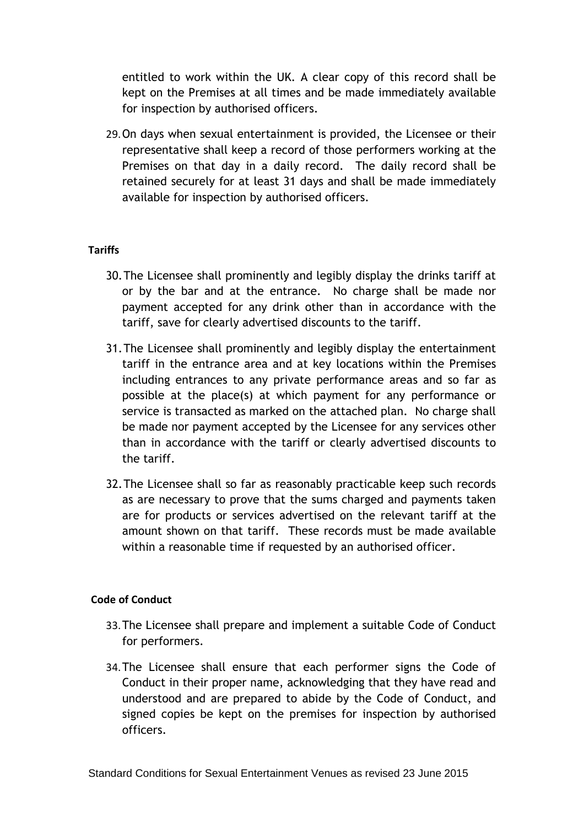entitled to work within the UK. A clear copy of this record shall be kept on the Premises at all times and be made immediately available for inspection by authorised officers.

29.On days when sexual entertainment is provided, the Licensee or their representative shall keep a record of those performers working at the Premises on that day in a daily record. The daily record shall be retained securely for at least 31 days and shall be made immediately available for inspection by authorised officers.

# **Tariffs**

- 30.The Licensee shall prominently and legibly display the drinks tariff at or by the bar and at the entrance. No charge shall be made nor payment accepted for any drink other than in accordance with the tariff, save for clearly advertised discounts to the tariff.
- 31.The Licensee shall prominently and legibly display the entertainment tariff in the entrance area and at key locations within the Premises including entrances to any private performance areas and so far as possible at the place(s) at which payment for any performance or service is transacted as marked on the attached plan. No charge shall be made nor payment accepted by the Licensee for any services other than in accordance with the tariff or clearly advertised discounts to the tariff.
- 32.The Licensee shall so far as reasonably practicable keep such records as are necessary to prove that the sums charged and payments taken are for products or services advertised on the relevant tariff at the amount shown on that tariff. These records must be made available within a reasonable time if requested by an authorised officer.

# **Code of Conduct**

- 33.The Licensee shall prepare and implement a suitable Code of Conduct for performers.
- 34.The Licensee shall ensure that each performer signs the Code of Conduct in their proper name, acknowledging that they have read and understood and are prepared to abide by the Code of Conduct, and signed copies be kept on the premises for inspection by authorised officers.